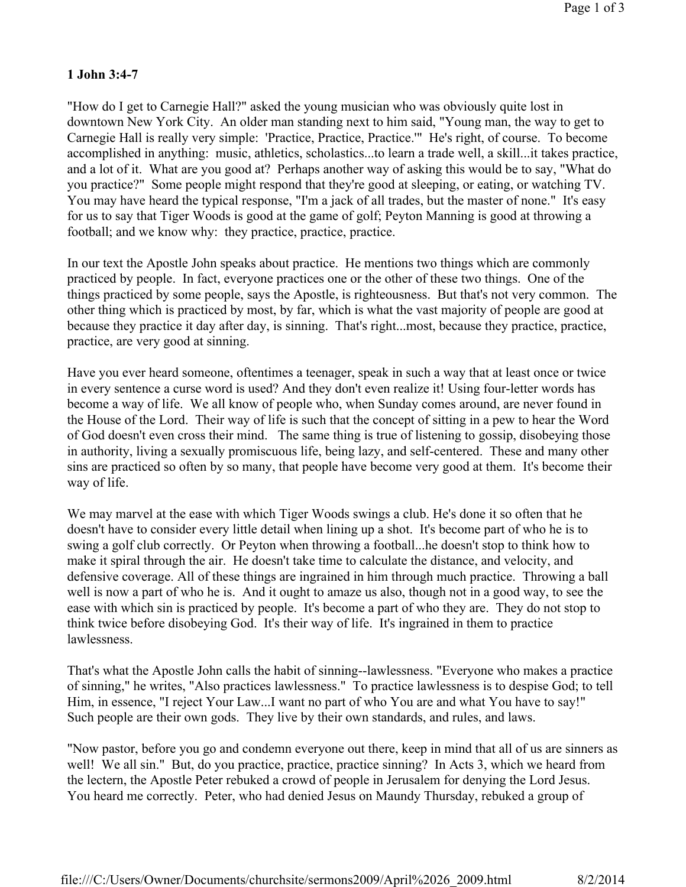## **1 John 3:4-7**

"How do I get to Carnegie Hall?" asked the young musician who was obviously quite lost in downtown New York City. An older man standing next to him said, "Young man, the way to get to Carnegie Hall is really very simple: 'Practice, Practice, Practice.'" He's right, of course. To become accomplished in anything: music, athletics, scholastics...to learn a trade well, a skill...it takes practice, and a lot of it. What are you good at? Perhaps another way of asking this would be to say, "What do you practice?" Some people might respond that they're good at sleeping, or eating, or watching TV. You may have heard the typical response, "I'm a jack of all trades, but the master of none." It's easy for us to say that Tiger Woods is good at the game of golf; Peyton Manning is good at throwing a football; and we know why: they practice, practice, practice.

In our text the Apostle John speaks about practice. He mentions two things which are commonly practiced by people. In fact, everyone practices one or the other of these two things. One of the things practiced by some people, says the Apostle, is righteousness. But that's not very common. The other thing which is practiced by most, by far, which is what the vast majority of people are good at because they practice it day after day, is sinning. That's right...most, because they practice, practice, practice, are very good at sinning.

Have you ever heard someone, oftentimes a teenager, speak in such a way that at least once or twice in every sentence a curse word is used? And they don't even realize it! Using four-letter words has become a way of life. We all know of people who, when Sunday comes around, are never found in the House of the Lord. Their way of life is such that the concept of sitting in a pew to hear the Word of God doesn't even cross their mind. The same thing is true of listening to gossip, disobeying those in authority, living a sexually promiscuous life, being lazy, and self-centered. These and many other sins are practiced so often by so many, that people have become very good at them. It's become their way of life.

We may marvel at the ease with which Tiger Woods swings a club. He's done it so often that he doesn't have to consider every little detail when lining up a shot. It's become part of who he is to swing a golf club correctly. Or Peyton when throwing a football...he doesn't stop to think how to make it spiral through the air. He doesn't take time to calculate the distance, and velocity, and defensive coverage. All of these things are ingrained in him through much practice. Throwing a ball well is now a part of who he is. And it ought to amaze us also, though not in a good way, to see the ease with which sin is practiced by people. It's become a part of who they are. They do not stop to think twice before disobeying God. It's their way of life. It's ingrained in them to practice lawlessness.

That's what the Apostle John calls the habit of sinning--lawlessness. "Everyone who makes a practice of sinning," he writes, "Also practices lawlessness." To practice lawlessness is to despise God; to tell Him, in essence, "I reject Your Law...I want no part of who You are and what You have to say!" Such people are their own gods. They live by their own standards, and rules, and laws.

"Now pastor, before you go and condemn everyone out there, keep in mind that all of us are sinners as well! We all sin." But, do you practice, practice, practice sinning? In Acts 3, which we heard from the lectern, the Apostle Peter rebuked a crowd of people in Jerusalem for denying the Lord Jesus. You heard me correctly. Peter, who had denied Jesus on Maundy Thursday, rebuked a group of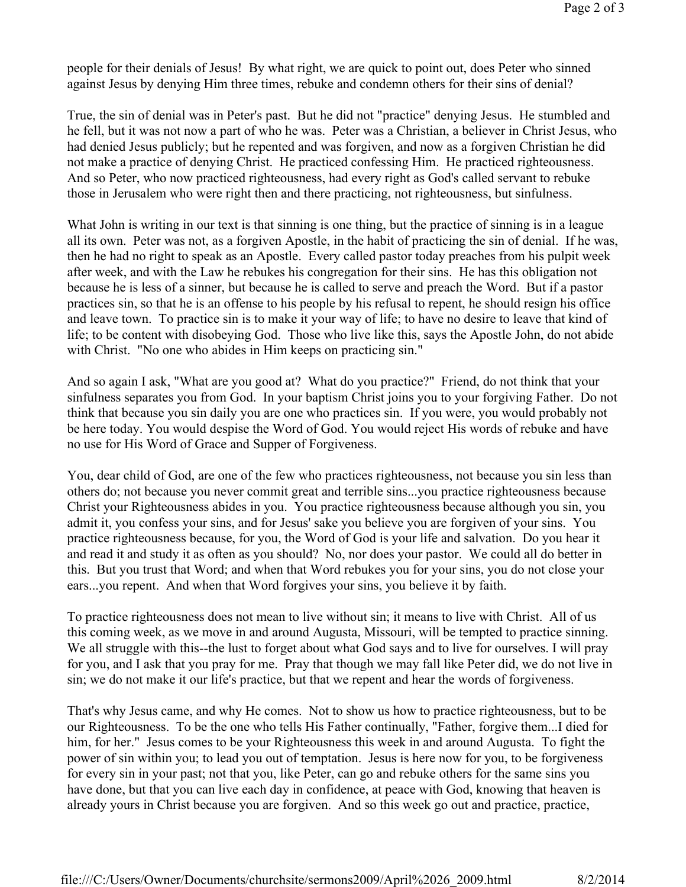people for their denials of Jesus! By what right, we are quick to point out, does Peter who sinned against Jesus by denying Him three times, rebuke and condemn others for their sins of denial?

True, the sin of denial was in Peter's past. But he did not "practice" denying Jesus. He stumbled and he fell, but it was not now a part of who he was. Peter was a Christian, a believer in Christ Jesus, who had denied Jesus publicly; but he repented and was forgiven, and now as a forgiven Christian he did not make a practice of denying Christ. He practiced confessing Him. He practiced righteousness. And so Peter, who now practiced righteousness, had every right as God's called servant to rebuke those in Jerusalem who were right then and there practicing, not righteousness, but sinfulness.

What John is writing in our text is that sinning is one thing, but the practice of sinning is in a league all its own. Peter was not, as a forgiven Apostle, in the habit of practicing the sin of denial. If he was, then he had no right to speak as an Apostle. Every called pastor today preaches from his pulpit week after week, and with the Law he rebukes his congregation for their sins. He has this obligation not because he is less of a sinner, but because he is called to serve and preach the Word. But if a pastor practices sin, so that he is an offense to his people by his refusal to repent, he should resign his office and leave town. To practice sin is to make it your way of life; to have no desire to leave that kind of life; to be content with disobeying God. Those who live like this, says the Apostle John, do not abide with Christ. "No one who abides in Him keeps on practicing sin."

And so again I ask, "What are you good at? What do you practice?" Friend, do not think that your sinfulness separates you from God. In your baptism Christ joins you to your forgiving Father. Do not think that because you sin daily you are one who practices sin. If you were, you would probably not be here today. You would despise the Word of God. You would reject His words of rebuke and have no use for His Word of Grace and Supper of Forgiveness.

You, dear child of God, are one of the few who practices righteousness, not because you sin less than others do; not because you never commit great and terrible sins...you practice righteousness because Christ your Righteousness abides in you. You practice righteousness because although you sin, you admit it, you confess your sins, and for Jesus' sake you believe you are forgiven of your sins. You practice righteousness because, for you, the Word of God is your life and salvation. Do you hear it and read it and study it as often as you should? No, nor does your pastor. We could all do better in this. But you trust that Word; and when that Word rebukes you for your sins, you do not close your ears...you repent. And when that Word forgives your sins, you believe it by faith.

To practice righteousness does not mean to live without sin; it means to live with Christ. All of us this coming week, as we move in and around Augusta, Missouri, will be tempted to practice sinning. We all struggle with this--the lust to forget about what God says and to live for ourselves. I will pray for you, and I ask that you pray for me. Pray that though we may fall like Peter did, we do not live in sin; we do not make it our life's practice, but that we repent and hear the words of forgiveness.

That's why Jesus came, and why He comes. Not to show us how to practice righteousness, but to be our Righteousness. To be the one who tells His Father continually, "Father, forgive them...I died for him, for her." Jesus comes to be your Righteousness this week in and around Augusta. To fight the power of sin within you; to lead you out of temptation. Jesus is here now for you, to be forgiveness for every sin in your past; not that you, like Peter, can go and rebuke others for the same sins you have done, but that you can live each day in confidence, at peace with God, knowing that heaven is already yours in Christ because you are forgiven. And so this week go out and practice, practice,